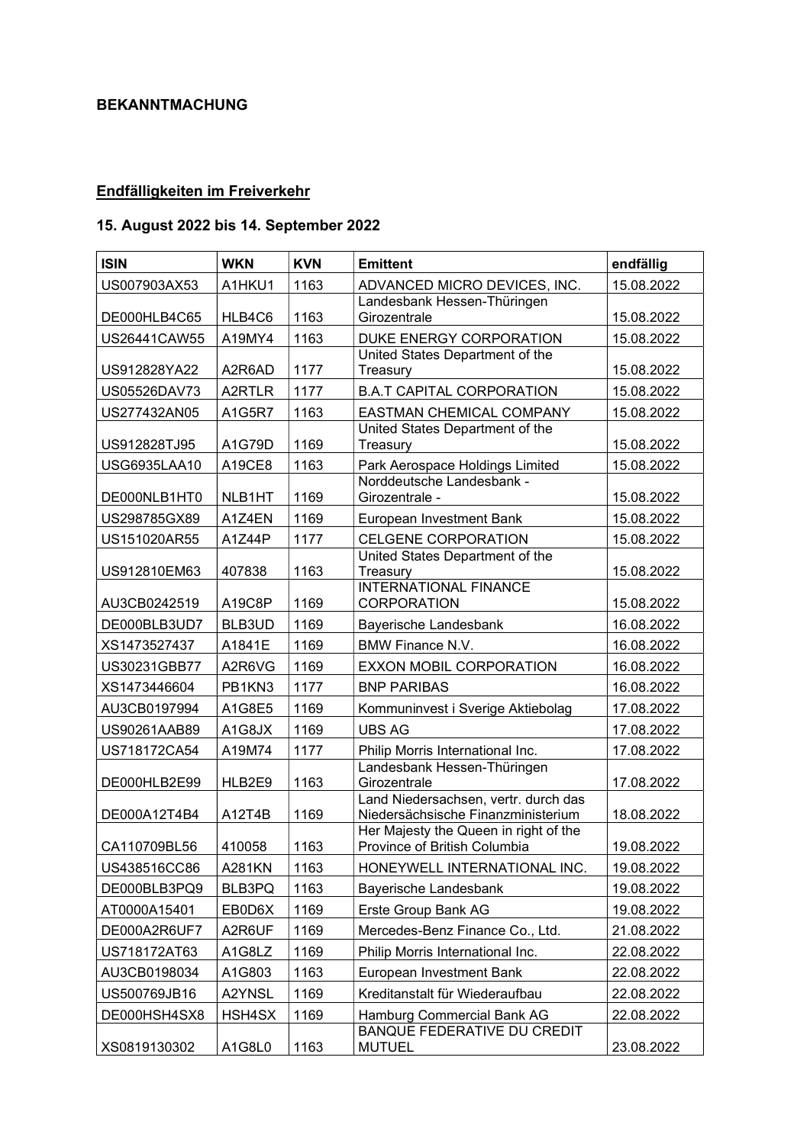## BEKANNTMACHUNG

## Endfälligkeiten im Freiverkehr

## 15. August 2022 bis 14. September 2022

| <b>ISIN</b>  | <b>WKN</b>    | <b>KVN</b> | <b>Emittent</b>                                                            | endfällig  |
|--------------|---------------|------------|----------------------------------------------------------------------------|------------|
| US007903AX53 | A1HKU1        | 1163       | ADVANCED MICRO DEVICES, INC.                                               | 15.08.2022 |
| DE000HLB4C65 | HLB4C6        | 1163       | Landesbank Hessen-Thüringen<br>Girozentrale                                | 15.08.2022 |
| US26441CAW55 | A19MY4        | 1163       | DUKE ENERGY CORPORATION                                                    | 15.08.2022 |
|              |               |            | United States Department of the                                            |            |
| US912828YA22 | A2R6AD        | 1177       | Treasury                                                                   | 15.08.2022 |
| US05526DAV73 | A2RTLR        | 1177       | <b>B.A.T CAPITAL CORPORATION</b>                                           | 15.08.2022 |
| US277432AN05 | A1G5R7        | 1163       | EASTMAN CHEMICAL COMPANY                                                   | 15.08.2022 |
| US912828TJ95 | A1G79D        | 1169       | United States Department of the<br>Treasury                                | 15.08.2022 |
| USG6935LAA10 | A19CE8        | 1163       | Park Aerospace Holdings Limited                                            | 15.08.2022 |
|              |               |            | Norddeutsche Landesbank -                                                  |            |
| DE000NLB1HT0 | NLB1HT        | 1169       | Girozentrale -                                                             | 15.08.2022 |
| US298785GX89 | A1Z4EN        | 1169       | European Investment Bank                                                   | 15.08.2022 |
| US151020AR55 | A1Z44P        | 1177       | <b>CELGENE CORPORATION</b>                                                 | 15.08.2022 |
| US912810EM63 | 407838        | 1163       | United States Department of the<br>Treasury                                | 15.08.2022 |
| AU3CB0242519 | A19C8P        | 1169       | <b>INTERNATIONAL FINANCE</b><br><b>CORPORATION</b>                         | 15.08.2022 |
| DE000BLB3UD7 | BLB3UD        | 1169       | Bayerische Landesbank                                                      | 16.08.2022 |
| XS1473527437 | A1841E        | 1169       | <b>BMW Finance N.V.</b>                                                    | 16.08.2022 |
| US30231GBB77 | A2R6VG        | 1169       | EXXON MOBIL CORPORATION                                                    | 16.08.2022 |
| XS1473446604 | PB1KN3        | 1177       | <b>BNP PARIBAS</b>                                                         | 16.08.2022 |
| AU3CB0197994 | A1G8E5        | 1169       | Kommuninvest i Sverige Aktiebolag                                          | 17.08.2022 |
| US90261AAB89 | A1G8JX        | 1169       | <b>UBS AG</b>                                                              | 17.08.2022 |
| US718172CA54 | A19M74        | 1177       | Philip Morris International Inc.                                           | 17.08.2022 |
| DE000HLB2E99 | HLB2E9        | 1163       | Landesbank Hessen-Thüringen<br>Girozentrale                                | 17.08.2022 |
| DE000A12T4B4 | A12T4B        | 1169       | Land Niedersachsen, vertr. durch das<br>Niedersächsische Finanzministerium | 18.08.2022 |
| CA110709BL56 | 410058        | 1163       | Her Majesty the Queen in right of the<br>Province of British Columbia      | 19.08.2022 |
| US438516CC86 | <b>A281KN</b> | 1163       | HONEYWELL INTERNATIONAL INC.                                               | 19.08.2022 |
| DE000BLB3PQ9 | BLB3PQ        | 1163       | Bayerische Landesbank                                                      | 19.08.2022 |
| AT0000A15401 | EB0D6X        | 1169       | Erste Group Bank AG                                                        | 19.08.2022 |
| DE000A2R6UF7 | A2R6UF        | 1169       | Mercedes-Benz Finance Co., Ltd.                                            | 21.08.2022 |
| US718172AT63 | A1G8LZ        | 1169       | Philip Morris International Inc.                                           | 22.08.2022 |
| AU3CB0198034 | A1G803        | 1163       | European Investment Bank                                                   | 22.08.2022 |
| US500769JB16 | A2YNSL        | 1169       | Kreditanstalt für Wiederaufbau                                             | 22.08.2022 |
| DE000HSH4SX8 | HSH4SX        | 1169       | Hamburg Commercial Bank AG                                                 | 22.08.2022 |
| XS0819130302 | A1G8L0        | 1163       | <b>BANQUE FEDERATIVE DU CREDIT</b><br><b>MUTUEL</b>                        | 23.08.2022 |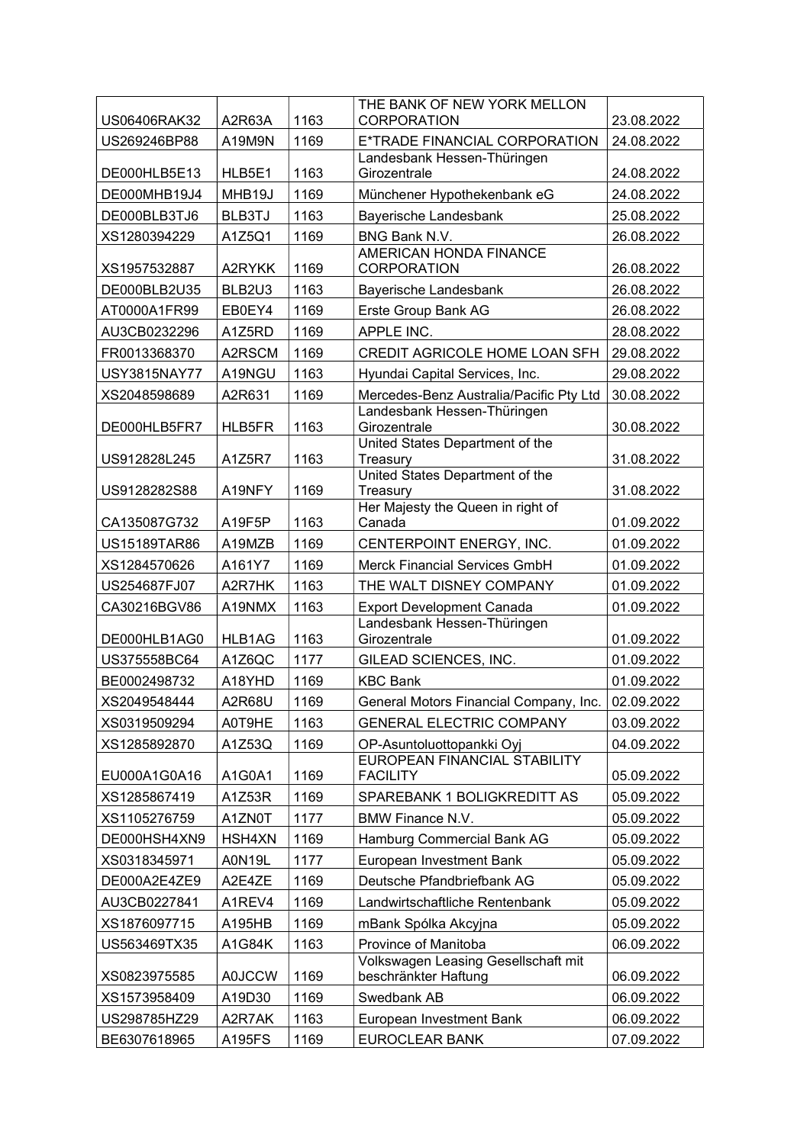|              |               |      | THE BANK OF NEW YORK MELLON                                  |            |
|--------------|---------------|------|--------------------------------------------------------------|------------|
| US06406RAK32 | A2R63A        | 1163 | <b>CORPORATION</b>                                           | 23.08.2022 |
| US269246BP88 | A19M9N        | 1169 | E*TRADE FINANCIAL CORPORATION<br>Landesbank Hessen-Thüringen | 24.08.2022 |
| DE000HLB5E13 | HLB5E1        | 1163 | Girozentrale                                                 | 24.08.2022 |
| DE000MHB19J4 | MHB19J        | 1169 | Münchener Hypothekenbank eG                                  | 24.08.2022 |
| DE000BLB3TJ6 | BLB3TJ        | 1163 | Bayerische Landesbank                                        | 25.08.2022 |
| XS1280394229 | A1Z5Q1        | 1169 | BNG Bank N.V.                                                | 26.08.2022 |
| XS1957532887 | A2RYKK        | 1169 | AMERICAN HONDA FINANCE<br>CORPORATION                        | 26.08.2022 |
| DE000BLB2U35 | BLB2U3        | 1163 | Bayerische Landesbank                                        | 26.08.2022 |
| AT0000A1FR99 | EB0EY4        | 1169 | Erste Group Bank AG                                          | 26.08.2022 |
| AU3CB0232296 | A1Z5RD        | 1169 | APPLE INC.                                                   | 28.08.2022 |
| FR0013368370 | A2RSCM        | 1169 | CREDIT AGRICOLE HOME LOAN SFH                                | 29.08.2022 |
| USY3815NAY77 | A19NGU        | 1163 | Hyundai Capital Services, Inc.                               | 29.08.2022 |
| XS2048598689 | A2R631        | 1169 | Mercedes-Benz Australia/Pacific Pty Ltd                      | 30.08.2022 |
|              |               |      | Landesbank Hessen-Thüringen                                  |            |
| DE000HLB5FR7 | HLB5FR        | 1163 | Girozentrale                                                 | 30.08.2022 |
| US912828L245 | A1Z5R7        | 1163 | United States Department of the<br>Treasury                  | 31.08.2022 |
| US9128282S88 | A19NFY        | 1169 | United States Department of the<br>Treasury                  | 31.08.2022 |
|              |               |      | Her Majesty the Queen in right of                            |            |
| CA135087G732 | A19F5P        | 1163 | Canada                                                       | 01.09.2022 |
| US15189TAR86 | A19MZB        | 1169 | CENTERPOINT ENERGY, INC.                                     | 01.09.2022 |
| XS1284570626 | A161Y7        | 1169 | <b>Merck Financial Services GmbH</b>                         | 01.09.2022 |
| US254687FJ07 | A2R7HK        | 1163 | THE WALT DISNEY COMPANY                                      | 01.09.2022 |
| CA30216BGV86 | A19NMX        | 1163 | <b>Export Development Canada</b>                             | 01.09.2022 |
|              |               |      | Landesbank Hessen-Thüringen                                  |            |
| DE000HLB1AG0 | HLB1AG        | 1163 | Girozentrale                                                 | 01.09.2022 |
| US375558BC64 | A1Z6QC        | 1177 | GILEAD SCIENCES, INC.                                        | 01.09.2022 |
| BE0002498732 | A18YHD        | 1169 | <b>KBC Bank</b>                                              | 01.09.2022 |
| XS2049548444 | A2R68U        | 1169 | General Motors Financial Company, Inc.                       | 02.09.2022 |
| XS0319509294 | A0T9HE        | 1163 | GENERAL ELECTRIC COMPANY                                     | 03.09.2022 |
| XS1285892870 | A1Z53Q        | 1169 | OP-Asuntoluottopankki Oyj                                    | 04.09.2022 |
| EU000A1G0A16 | A1G0A1        | 1169 | EUROPEAN FINANCIAL STABILITY<br><b>FACILITY</b>              | 05.09.2022 |
| XS1285867419 | A1Z53R        | 1169 | SPAREBANK 1 BOLIGKREDITT AS                                  | 05.09.2022 |
| XS1105276759 | A1ZN0T        | 1177 | <b>BMW Finance N.V.</b>                                      | 05.09.2022 |
| DE000HSH4XN9 | HSH4XN        | 1169 | Hamburg Commercial Bank AG                                   | 05.09.2022 |
| XS0318345971 | <b>A0N19L</b> | 1177 | European Investment Bank                                     | 05.09.2022 |
| DE000A2E4ZE9 | A2E4ZE        | 1169 | Deutsche Pfandbriefbank AG                                   | 05.09.2022 |
| AU3CB0227841 | A1REV4        | 1169 | Landwirtschaftliche Rentenbank                               | 05.09.2022 |
| XS1876097715 | A195HB        | 1169 | mBank Spólka Akcyjna                                         | 05.09.2022 |
| US563469TX35 | A1G84K        | 1163 | Province of Manitoba                                         | 06.09.2022 |
| XS0823975585 | <b>A0JCCW</b> | 1169 | Volkswagen Leasing Gesellschaft mit<br>beschränkter Haftung  | 06.09.2022 |
| XS1573958409 | A19D30        | 1169 | Swedbank AB                                                  | 06.09.2022 |
| US298785HZ29 | A2R7AK        | 1163 | European Investment Bank                                     | 06.09.2022 |
| BE6307618965 | A195FS        | 1169 | <b>EUROCLEAR BANK</b>                                        | 07.09.2022 |
|              |               |      |                                                              |            |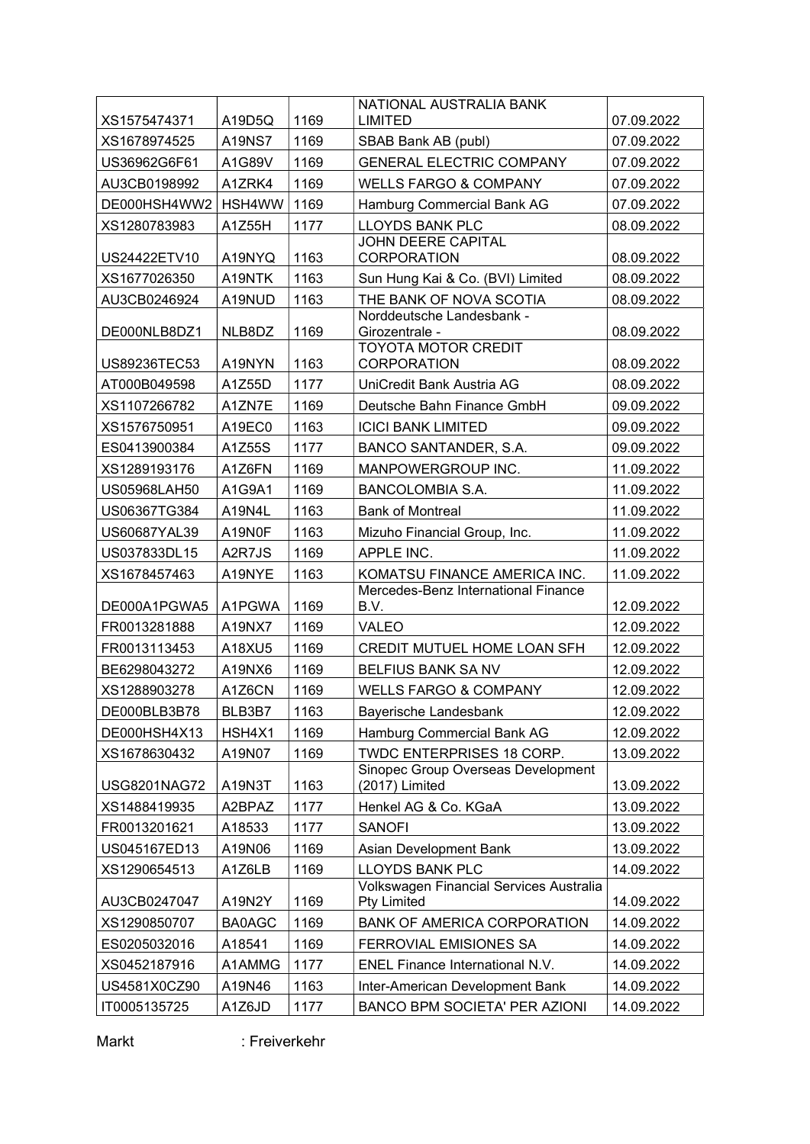|                              |                  |      | NATIONAL AUSTRALIA BANK                                                |                          |
|------------------------------|------------------|------|------------------------------------------------------------------------|--------------------------|
| XS1575474371                 | A19D5Q           | 1169 | LIMITED                                                                | 07.09.2022               |
| XS1678974525                 | <b>A19NS7</b>    | 1169 | SBAB Bank AB (publ)                                                    | 07.09.2022               |
| US36962G6F61                 | A1G89V           | 1169 | <b>GENERAL ELECTRIC COMPANY</b>                                        | 07.09.2022               |
| AU3CB0198992                 | A1ZRK4           | 1169 | <b>WELLS FARGO &amp; COMPANY</b>                                       | 07.09.2022               |
| DE000HSH4WW2                 | HSH4WW           | 1169 | Hamburg Commercial Bank AG                                             | 07.09.2022               |
| XS1280783983                 | A1Z55H           | 1177 | LLOYDS BANK PLC                                                        | 08.09.2022               |
| US24422ETV10                 | A19NYQ           | 1163 | JOHN DEERE CAPITAL<br><b>CORPORATION</b>                               | 08.09.2022               |
| XS1677026350                 | A19NTK           | 1163 | Sun Hung Kai & Co. (BVI) Limited                                       | 08.09.2022               |
| AU3CB0246924                 | A19NUD           | 1163 | THE BANK OF NOVA SCOTIA                                                | 08.09.2022               |
|                              |                  |      | Norddeutsche Landesbank -                                              |                          |
| DE000NLB8DZ1                 | NLB8DZ           | 1169 | Girozentrale -                                                         | 08.09.2022               |
| US89236TEC53                 | A19NYN           | 1163 | <b>TOYOTA MOTOR CREDIT</b><br><b>CORPORATION</b>                       | 08.09.2022               |
| AT000B049598                 | A1Z55D           | 1177 | UniCredit Bank Austria AG                                              | 08.09.2022               |
| XS1107266782                 | A1ZN7E           | 1169 | Deutsche Bahn Finance GmbH                                             | 09.09.2022               |
| XS1576750951                 | A19EC0           | 1163 | <b>ICICI BANK LIMITED</b>                                              | 09.09.2022               |
| ES0413900384                 | A1Z55S           | 1177 | BANCO SANTANDER, S.A.                                                  | 09.09.2022               |
| XS1289193176                 | A1Z6FN           | 1169 | MANPOWERGROUP INC.                                                     | 11.09.2022               |
| <b>US05968LAH50</b>          | A1G9A1           | 1169 | <b>BANCOLOMBIA S.A.</b>                                                | 11.09.2022               |
| US06367TG384                 | A19N4L           | 1163 | <b>Bank of Montreal</b>                                                | 11.09.2022               |
| US60687YAL39                 | A19N0F           | 1163 | Mizuho Financial Group, Inc.                                           | 11.09.2022               |
| US037833DL15                 | A2R7JS           | 1169 | APPLE INC.                                                             | 11.09.2022               |
| XS1678457463                 | A19NYE           | 1163 | KOMATSU FINANCE AMERICA INC.                                           | 11.09.2022               |
|                              |                  | 1169 | Mercedes-Benz International Finance<br>B.V.                            |                          |
| DE000A1PGWA5<br>FR0013281888 | A1PGWA<br>A19NX7 | 1169 | VALEO                                                                  | 12.09.2022<br>12.09.2022 |
| FR0013113453                 | A18XU5           | 1169 | CREDIT MUTUEL HOME LOAN SFH                                            | 12.09.2022               |
| BE6298043272                 | A19NX6           | 1169 | <b>BELFIUS BANK SA NV</b>                                              | 12.09.2022               |
| XS1288903278                 |                  | 1169 |                                                                        | 12.09.2022               |
| DE000BLB3B78                 | A1Z6CN<br>BLB3B7 |      | <b>WELLS FARGO &amp; COMPANY</b>                                       |                          |
|                              |                  | 1163 | Bayerische Landesbank                                                  | 12.09.2022               |
| DE000HSH4X13                 | HSH4X1           | 1169 | Hamburg Commercial Bank AG                                             | 12.09.2022               |
| XS1678630432                 | A19N07           | 1169 | <b>TWDC ENTERPRISES 18 CORP.</b><br>Sinopec Group Overseas Development | 13.09.2022               |
| <b>USG8201NAG72</b>          | A19N3T           | 1163 | (2017) Limited                                                         | 13.09.2022               |
| XS1488419935                 | A2BPAZ           | 1177 | Henkel AG & Co. KGaA                                                   | 13.09.2022               |
| FR0013201621                 | A18533           | 1177 | <b>SANOFI</b>                                                          | 13.09.2022               |
| US045167ED13                 | A19N06           | 1169 | Asian Development Bank                                                 | 13.09.2022               |
| XS1290654513                 | A1Z6LB           | 1169 | <b>LLOYDS BANK PLC</b>                                                 | 14.09.2022               |
| AU3CB0247047                 | A19N2Y           | 1169 | Volkswagen Financial Services Australia<br>Pty Limited                 | 14.09.2022               |
| XS1290850707                 | <b>BA0AGC</b>    | 1169 | <b>BANK OF AMERICA CORPORATION</b>                                     | 14.09.2022               |
| ES0205032016                 | A18541           | 1169 | <b>FERROVIAL EMISIONES SA</b>                                          | 14.09.2022               |
| XS0452187916                 | A1AMMG           | 1177 | ENEL Finance International N.V.                                        | 14.09.2022               |
| US4581X0CZ90                 | A19N46           | 1163 | Inter-American Development Bank                                        | 14.09.2022               |
| IT0005135725                 | A1Z6JD           | 1177 | BANCO BPM SOCIETA' PER AZIONI                                          | 14.09.2022               |